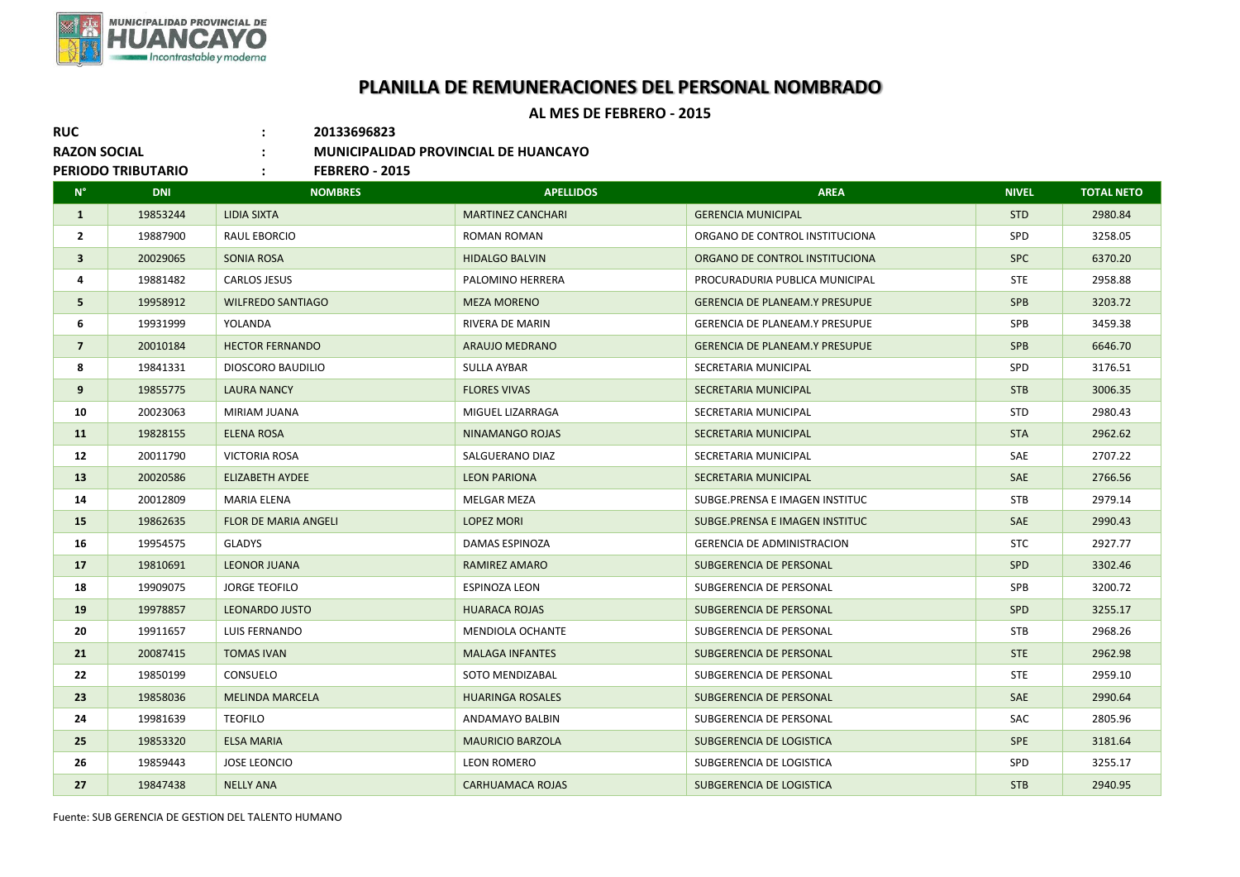

## **PLANILLA DE REMUNERACIONES DEL PERSONAL NOMBRADO**

## **AL MES DE FEBRERO - 2015**

**RUC : 20133696823**

**RAZON SOCIAL : MUNICIPALIDAD PROVINCIAL DE HUANCAYO**

**PERIODO TRIBUTARIO : FEBRERO - 2015**

| <b>DNI</b> | <b>NOMBRES</b>              | <b>APELLIDOS</b>         | <b>AREA</b>                           | <b>NIVEL</b> | <b>TOTAL NETO</b> |
|------------|-----------------------------|--------------------------|---------------------------------------|--------------|-------------------|
| 19853244   | <b>LIDIA SIXTA</b>          | <b>MARTINEZ CANCHARI</b> | <b>GERENCIA MUNICIPAL</b>             | <b>STD</b>   | 2980.84           |
| 19887900   | RAUL EBORCIO                | ROMAN ROMAN              | ORGANO DE CONTROL INSTITUCIONA        | <b>SPD</b>   | 3258.05           |
| 20029065   | SONIA ROSA                  | <b>HIDALGO BALVIN</b>    | ORGANO DE CONTROL INSTITUCIONA        | <b>SPC</b>   | 6370.20           |
| 19881482   | <b>CARLOS JESUS</b>         | PALOMINO HERRERA         | PROCURADURIA PUBLICA MUNICIPAL        | <b>STE</b>   | 2958.88           |
| 19958912   | <b>WILFREDO SANTIAGO</b>    | <b>MEZA MORENO</b>       | <b>GERENCIA DE PLANEAM.Y PRESUPUE</b> | <b>SPB</b>   | 3203.72           |
| 19931999   | YOLANDA                     | RIVERA DE MARIN          | <b>GERENCIA DE PLANEAM.Y PRESUPUE</b> | SPB          | 3459.38           |
| 20010184   | <b>HECTOR FERNANDO</b>      | ARAUJO MEDRANO           | <b>GERENCIA DE PLANEAM.Y PRESUPUE</b> | <b>SPB</b>   | 6646.70           |
| 19841331   | DIOSCORO BAUDILIO           | SULLA AYBAR              | SECRETARIA MUNICIPAL                  | SPD          | 3176.51           |
| 19855775   | <b>LAURA NANCY</b>          | <b>FLORES VIVAS</b>      | SECRETARIA MUNICIPAL                  | <b>STB</b>   | 3006.35           |
| 20023063   | MIRIAM JUANA                | MIGUEL LIZARRAGA         | SECRETARIA MUNICIPAL                  | <b>STD</b>   | 2980.43           |
| 19828155   | ELENA ROSA                  | NINAMANGO ROJAS          | SECRETARIA MUNICIPAL                  | <b>STA</b>   | 2962.62           |
| 20011790   | VICTORIA ROSA               | SALGUERANO DIAZ          | SECRETARIA MUNICIPAL                  | <b>SAE</b>   | 2707.22           |
| 20020586   | ELIZABETH AYDEE             | <b>LEON PARIONA</b>      | SECRETARIA MUNICIPAL                  | <b>SAE</b>   | 2766.56           |
| 20012809   | <b>MARIA ELENA</b>          | MELGAR MEZA              | SUBGE.PRENSA E IMAGEN INSTITUC        | <b>STB</b>   | 2979.14           |
| 19862635   | <b>FLOR DE MARIA ANGELI</b> | <b>LOPEZ MORI</b>        | SUBGE.PRENSA E IMAGEN INSTITUC        | SAE          | 2990.43           |
| 19954575   | <b>GLADYS</b>               | DAMAS ESPINOZA           | <b>GERENCIA DE ADMINISTRACION</b>     | <b>STC</b>   | 2927.77           |
| 19810691   | <b>LEONOR JUANA</b>         | RAMIREZ AMARO            | SUBGERENCIA DE PERSONAL               | <b>SPD</b>   | 3302.46           |
| 19909075   | <b>JORGE TEOFILO</b>        | ESPINOZA LEON            | SUBGERENCIA DE PERSONAL               | SPB          | 3200.72           |
| 19978857   | <b>LEONARDO JUSTO</b>       | <b>HUARACA ROJAS</b>     | SUBGERENCIA DE PERSONAL               | <b>SPD</b>   | 3255.17           |
| 19911657   | LUIS FERNANDO               | <b>MENDIOLA OCHANTE</b>  | SUBGERENCIA DE PERSONAL               | <b>STB</b>   | 2968.26           |
| 20087415   | <b>TOMAS IVAN</b>           | <b>MALAGA INFANTES</b>   | SUBGERENCIA DE PERSONAL               | <b>STE</b>   | 2962.98           |
| 19850199   | CONSUELO                    | SOTO MENDIZABAL          | SUBGERENCIA DE PERSONAL               | <b>STE</b>   | 2959.10           |
| 19858036   | <b>MELINDA MARCELA</b>      | <b>HUARINGA ROSALES</b>  | SUBGERENCIA DE PERSONAL               | SAE          | 2990.64           |
| 19981639   | <b>TEOFILO</b>              | <b>ANDAMAYO BALBIN</b>   | SUBGERENCIA DE PERSONAL               | SAC          | 2805.96           |
| 19853320   | <b>ELSA MARIA</b>           | <b>MAURICIO BARZOLA</b>  | SUBGERENCIA DE LOGISTICA              | <b>SPE</b>   | 3181.64           |
| 19859443   | <b>JOSE LEONCIO</b>         | LEON ROMERO              | SUBGERENCIA DE LOGISTICA              | SPD          | 3255.17           |
| 19847438   | <b>NELLY ANA</b>            | <b>CARHUAMACA ROJAS</b>  | SUBGERENCIA DE LOGISTICA              | <b>STB</b>   | 2940.95           |
|            |                             |                          |                                       |              |                   |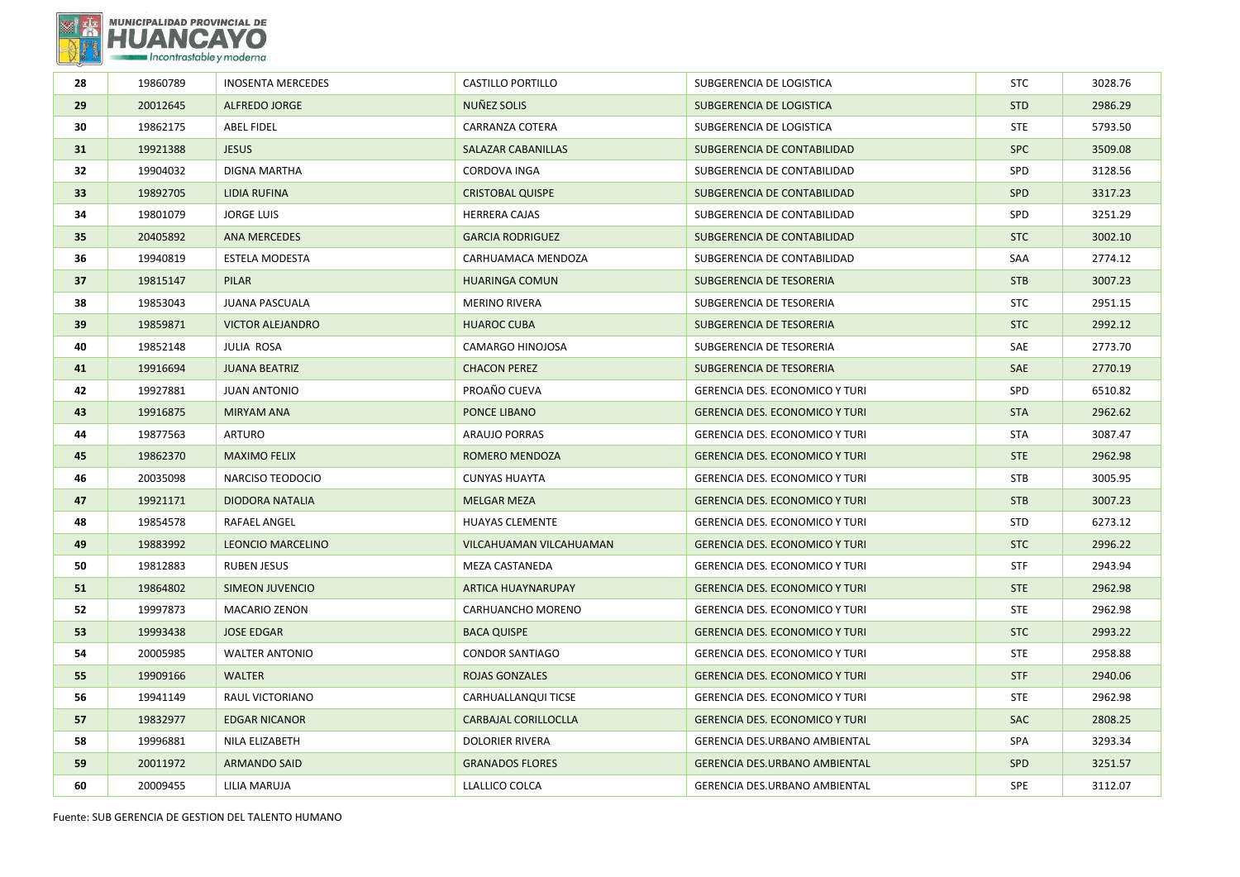

| 28              | 19860789 | <b>INOSENTA MERCEDES</b> | <b>CASTILLO PORTILLO</b>  | SUBGERENCIA DE LOGISTICA              | <b>STC</b> | 3028.76 |
|-----------------|----------|--------------------------|---------------------------|---------------------------------------|------------|---------|
| 29              | 20012645 | ALFREDO JORGE            | NUÑEZ SOLIS               | SUBGERENCIA DE LOGISTICA              | <b>STD</b> | 2986.29 |
| 30              | 19862175 | <b>ABEL FIDEL</b>        | CARRANZA COTERA           | SUBGERENCIA DE LOGISTICA              | <b>STE</b> | 5793.50 |
| 31              | 19921388 | <b>JESUS</b>             | SALAZAR CABANILLAS        | SUBGERENCIA DE CONTABILIDAD           | <b>SPC</b> | 3509.08 |
| 32              | 19904032 | DIGNA MARTHA             | CORDOVA INGA              | SUBGERENCIA DE CONTABILIDAD           | SPD        | 3128.56 |
| 33 <sup>2</sup> | 19892705 | <b>LIDIA RUFINA</b>      | <b>CRISTOBAL QUISPE</b>   | SUBGERENCIA DE CONTABILIDAD           | <b>SPD</b> | 3317.23 |
| 34              | 19801079 | <b>JORGE LUIS</b>        | <b>HERRERA CAJAS</b>      | SUBGERENCIA DE CONTABILIDAD           | SPD        | 3251.29 |
| 35              | 20405892 | <b>ANA MERCEDES</b>      | <b>GARCIA RODRIGUEZ</b>   | SUBGERENCIA DE CONTABILIDAD           | <b>STC</b> | 3002.10 |
| 36              | 19940819 | <b>ESTELA MODESTA</b>    | CARHUAMACA MENDOZA        | SUBGERENCIA DE CONTABILIDAD           | SAA        | 2774.12 |
| 37              | 19815147 | PILAR                    | <b>HUARINGA COMUN</b>     | SUBGERENCIA DE TESORERIA              | <b>STB</b> | 3007.23 |
| 38              | 19853043 | <b>JUANA PASCUALA</b>    | <b>MERINO RIVERA</b>      | SUBGERENCIA DE TESORERIA              | <b>STC</b> | 2951.15 |
| 39              | 19859871 | <b>VICTOR ALEJANDRO</b>  | <b>HUAROC CUBA</b>        | SUBGERENCIA DE TESORERIA              | <b>STC</b> | 2992.12 |
| 40              | 19852148 | <b>JULIA ROSA</b>        | CAMARGO HINOJOSA          | SUBGERENCIA DE TESORERIA              | SAE        | 2773.70 |
| 41              | 19916694 | <b>JUANA BEATRIZ</b>     | <b>CHACON PEREZ</b>       | SUBGERENCIA DE TESORERIA              | SAE        | 2770.19 |
| 42              | 19927881 | <b>JUAN ANTONIO</b>      | PROAÑO CUEVA              | <b>GERENCIA DES. ECONOMICO Y TURI</b> | SPD        | 6510.82 |
| 43              | 19916875 | <b>MIRYAM ANA</b>        | PONCE LIBANO              | <b>GERENCIA DES. ECONOMICO Y TURI</b> | <b>STA</b> | 2962.62 |
| 44              | 19877563 | <b>ARTURO</b>            | <b>ARAUJO PORRAS</b>      | <b>GERENCIA DES. ECONOMICO Y TURI</b> | <b>STA</b> | 3087.47 |
| 45              | 19862370 | <b>MAXIMO FELIX</b>      | <b>ROMERO MENDOZA</b>     | <b>GERENCIA DES. ECONOMICO Y TURI</b> | <b>STE</b> | 2962.98 |
| 46              | 20035098 | NARCISO TEODOCIO         | <b>CUNYAS HUAYTA</b>      | <b>GERENCIA DES. ECONOMICO Y TURI</b> | <b>STB</b> | 3005.95 |
| 47              | 19921171 | <b>DIODORA NATALIA</b>   | <b>MELGAR MEZA</b>        | <b>GERENCIA DES. ECONOMICO Y TURI</b> | <b>STB</b> | 3007.23 |
| 48              | 19854578 | RAFAEL ANGEL             | <b>HUAYAS CLEMENTE</b>    | <b>GERENCIA DES. ECONOMICO Y TURI</b> | <b>STD</b> | 6273.12 |
| 49              | 19883992 | <b>LEONCIO MARCELINO</b> | VILCAHUAMAN VILCAHUAMAN   | <b>GERENCIA DES. ECONOMICO Y TURI</b> | <b>STC</b> | 2996.22 |
| 50              | 19812883 | <b>RUBEN JESUS</b>       | MEZA CASTANEDA            | <b>GERENCIA DES. ECONOMICO Y TURI</b> | <b>STF</b> | 2943.94 |
| 51              | 19864802 | <b>SIMEON JUVENCIO</b>   | <b>ARTICA HUAYNARUPAY</b> | <b>GERENCIA DES. ECONOMICO Y TURI</b> | <b>STE</b> | 2962.98 |
| 52              | 19997873 | <b>MACARIO ZENON</b>     | CARHUANCHO MORENO         | <b>GERENCIA DES. ECONOMICO Y TURI</b> | <b>STE</b> | 2962.98 |
| 53              | 19993438 | <b>JOSE EDGAR</b>        | <b>BACA QUISPE</b>        | <b>GERENCIA DES. ECONOMICO Y TURI</b> | <b>STC</b> | 2993.22 |
| 54              | 20005985 | <b>WALTER ANTONIO</b>    | <b>CONDOR SANTIAGO</b>    | GERENCIA DES. ECONOMICO Y TURI        | <b>STE</b> | 2958.88 |
| 55              | 19909166 | <b>WALTER</b>            | <b>ROJAS GONZALES</b>     | <b>GERENCIA DES. ECONOMICO Y TURI</b> | <b>STF</b> | 2940.06 |
| 56              | 19941149 | RAUL VICTORIANO          | CARHUALLANQUI TICSE       | <b>GERENCIA DES. ECONOMICO Y TURI</b> | <b>STE</b> | 2962.98 |
| 57              | 19832977 | <b>EDGAR NICANOR</b>     | CARBAJAL CORILLOCLLA      | <b>GERENCIA DES. ECONOMICO Y TURI</b> | <b>SAC</b> | 2808.25 |
| 58              | 19996881 | NILA ELIZABETH           | <b>DOLORIER RIVERA</b>    | <b>GERENCIA DES.URBANO AMBIENTAL</b>  | SPA        | 3293.34 |
| 59              | 20011972 | <b>ARMANDO SAID</b>      | <b>GRANADOS FLORES</b>    | <b>GERENCIA DES.URBANO AMBIENTAL</b>  | SPD        | 3251.57 |
| 60              | 20009455 | LILIA MARUJA             | LLALLICO COLCA            | GERENCIA DES.URBANO AMBIENTAL         | SPE        | 3112.07 |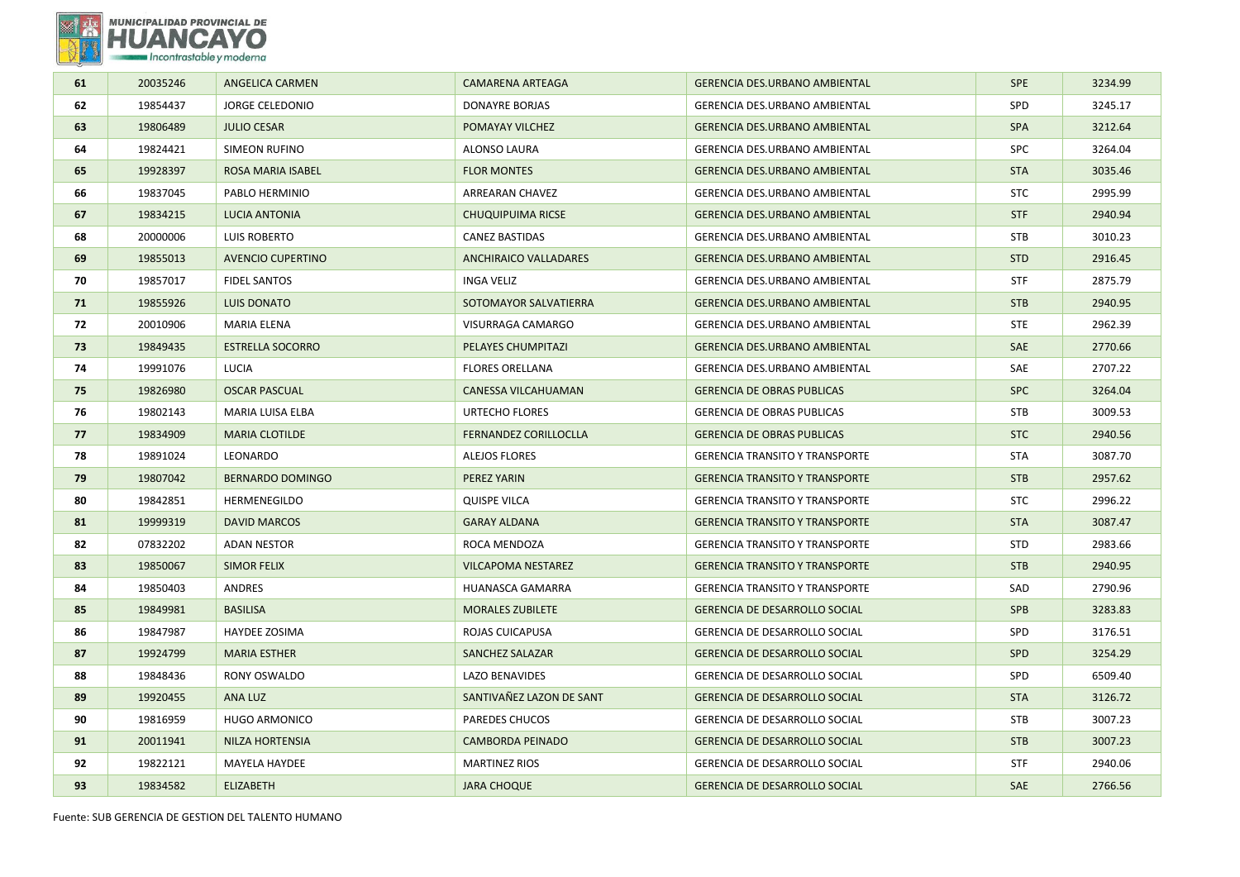

| 61 | 20035246 | ANGELICA CARMEN          | <b>CAMARENA ARTEAGA</b>      | <b>GERENCIA DES.URBANO AMBIENTAL</b>  | <b>SPE</b> | 3234.99 |
|----|----------|--------------------------|------------------------------|---------------------------------------|------------|---------|
| 62 | 19854437 | <b>JORGE CELEDONIO</b>   | <b>DONAYRE BORJAS</b>        | GERENCIA DES.URBANO AMBIENTAL         | SPD        | 3245.17 |
| 63 | 19806489 | <b>JULIO CESAR</b>       | POMAYAY VILCHEZ              | <b>GERENCIA DES.URBANO AMBIENTAL</b>  | <b>SPA</b> | 3212.64 |
| 64 | 19824421 | <b>SIMEON RUFINO</b>     | ALONSO LAURA                 | GERENCIA DES.URBANO AMBIENTAL         | <b>SPC</b> | 3264.04 |
| 65 | 19928397 | ROSA MARIA ISABEL        | <b>FLOR MONTES</b>           | <b>GERENCIA DES.URBANO AMBIENTAL</b>  | <b>STA</b> | 3035.46 |
| 66 | 19837045 | PABLO HERMINIO           | ARREARAN CHAVEZ              | <b>GERENCIA DES.URBANO AMBIENTAL</b>  | <b>STC</b> | 2995.99 |
| 67 | 19834215 | LUCIA ANTONIA            | <b>CHUQUIPUIMA RICSE</b>     | <b>GERENCIA DES.URBANO AMBIENTAL</b>  | <b>STF</b> | 2940.94 |
| 68 | 20000006 | LUIS ROBERTO             | <b>CANEZ BASTIDAS</b>        | <b>GERENCIA DES.URBANO AMBIENTAL</b>  | <b>STB</b> | 3010.23 |
| 69 | 19855013 | <b>AVENCIO CUPERTINO</b> | <b>ANCHIRAICO VALLADARES</b> | <b>GERENCIA DES.URBANO AMBIENTAL</b>  | <b>STD</b> | 2916.45 |
| 70 | 19857017 | <b>FIDEL SANTOS</b>      | <b>INGA VELIZ</b>            | <b>GERENCIA DES.URBANO AMBIENTAL</b>  | <b>STF</b> | 2875.79 |
| 71 | 19855926 | <b>LUIS DONATO</b>       | SOTOMAYOR SALVATIERRA        | <b>GERENCIA DES.URBANO AMBIENTAL</b>  | <b>STB</b> | 2940.95 |
| 72 | 20010906 | MARIA ELENA              | VISURRAGA CAMARGO            | <b>GERENCIA DES.URBANO AMBIENTAL</b>  | <b>STE</b> | 2962.39 |
| 73 | 19849435 | <b>ESTRELLA SOCORRO</b>  | PELAYES CHUMPITAZI           | <b>GERENCIA DES.URBANO AMBIENTAL</b>  | SAE        | 2770.66 |
| 74 | 19991076 | LUCIA                    | <b>FLORES ORELLANA</b>       | GERENCIA DES.URBANO AMBIENTAL         | SAE        | 2707.22 |
| 75 | 19826980 | <b>OSCAR PASCUAL</b>     | CANESSA VILCAHUAMAN          | <b>GERENCIA DE OBRAS PUBLICAS</b>     | <b>SPC</b> | 3264.04 |
| 76 | 19802143 | MARIA LUISA ELBA         | <b>URTECHO FLORES</b>        | <b>GERENCIA DE OBRAS PUBLICAS</b>     | <b>STB</b> | 3009.53 |
| 77 | 19834909 | <b>MARIA CLOTILDE</b>    | <b>FERNANDEZ CORILLOCLLA</b> | <b>GERENCIA DE OBRAS PUBLICAS</b>     | <b>STC</b> | 2940.56 |
| 78 | 19891024 | LEONARDO                 | <b>ALEJOS FLORES</b>         | <b>GERENCIA TRANSITO Y TRANSPORTE</b> | <b>STA</b> | 3087.70 |
| 79 | 19807042 | <b>BERNARDO DOMINGO</b>  | PEREZ YARIN                  | <b>GERENCIA TRANSITO Y TRANSPORTE</b> | <b>STB</b> | 2957.62 |
| 80 | 19842851 | HERMENEGILDO             | <b>QUISPE VILCA</b>          | <b>GERENCIA TRANSITO Y TRANSPORTE</b> | <b>STC</b> | 2996.22 |
| 81 | 19999319 | <b>DAVID MARCOS</b>      | <b>GARAY ALDANA</b>          | <b>GERENCIA TRANSITO Y TRANSPORTE</b> | <b>STA</b> | 3087.47 |
| 82 | 07832202 | <b>ADAN NESTOR</b>       | ROCA MENDOZA                 | <b>GERENCIA TRANSITO Y TRANSPORTE</b> | <b>STD</b> | 2983.66 |
| 83 | 19850067 | <b>SIMOR FELIX</b>       | <b>VILCAPOMA NESTAREZ</b>    | <b>GERENCIA TRANSITO Y TRANSPORTE</b> | <b>STB</b> | 2940.95 |
| 84 | 19850403 | ANDRES                   | HUANASCA GAMARRA             | <b>GERENCIA TRANSITO Y TRANSPORTE</b> | SAD        | 2790.96 |
| 85 | 19849981 | <b>BASILISA</b>          | <b>MORALES ZUBILETE</b>      | <b>GERENCIA DE DESARROLLO SOCIAL</b>  | <b>SPB</b> | 3283.83 |
| 86 | 19847987 | HAYDEE ZOSIMA            | ROJAS CUICAPUSA              | GERENCIA DE DESARROLLO SOCIAL         | SPD        | 3176.51 |
| 87 | 19924799 | <b>MARIA ESTHER</b>      | SANCHEZ SALAZAR              | <b>GERENCIA DE DESARROLLO SOCIAL</b>  | SPD        | 3254.29 |
| 88 | 19848436 | RONY OSWALDO             | LAZO BENAVIDES               | GERENCIA DE DESARROLLO SOCIAL         | SPD        | 6509.40 |
| 89 | 19920455 | ANA LUZ                  | SANTIVAÑEZ LAZON DE SANT     | GERENCIA DE DESARROLLO SOCIAL         | <b>STA</b> | 3126.72 |
| 90 | 19816959 | <b>HUGO ARMONICO</b>     | <b>PAREDES CHUCOS</b>        | <b>GERENCIA DE DESARROLLO SOCIAL</b>  | <b>STB</b> | 3007.23 |
| 91 | 20011941 | <b>NILZA HORTENSIA</b>   | <b>CAMBORDA PEINADO</b>      | <b>GERENCIA DE DESARROLLO SOCIAL</b>  | <b>STB</b> | 3007.23 |
| 92 | 19822121 | MAYELA HAYDEE            | <b>MARTINEZ RIOS</b>         | <b>GERENCIA DE DESARROLLO SOCIAL</b>  | <b>STF</b> | 2940.06 |
| 93 | 19834582 | <b>ELIZABETH</b>         | <b>JARA CHOQUE</b>           | <b>GERENCIA DE DESARROLLO SOCIAL</b>  | SAE        | 2766.56 |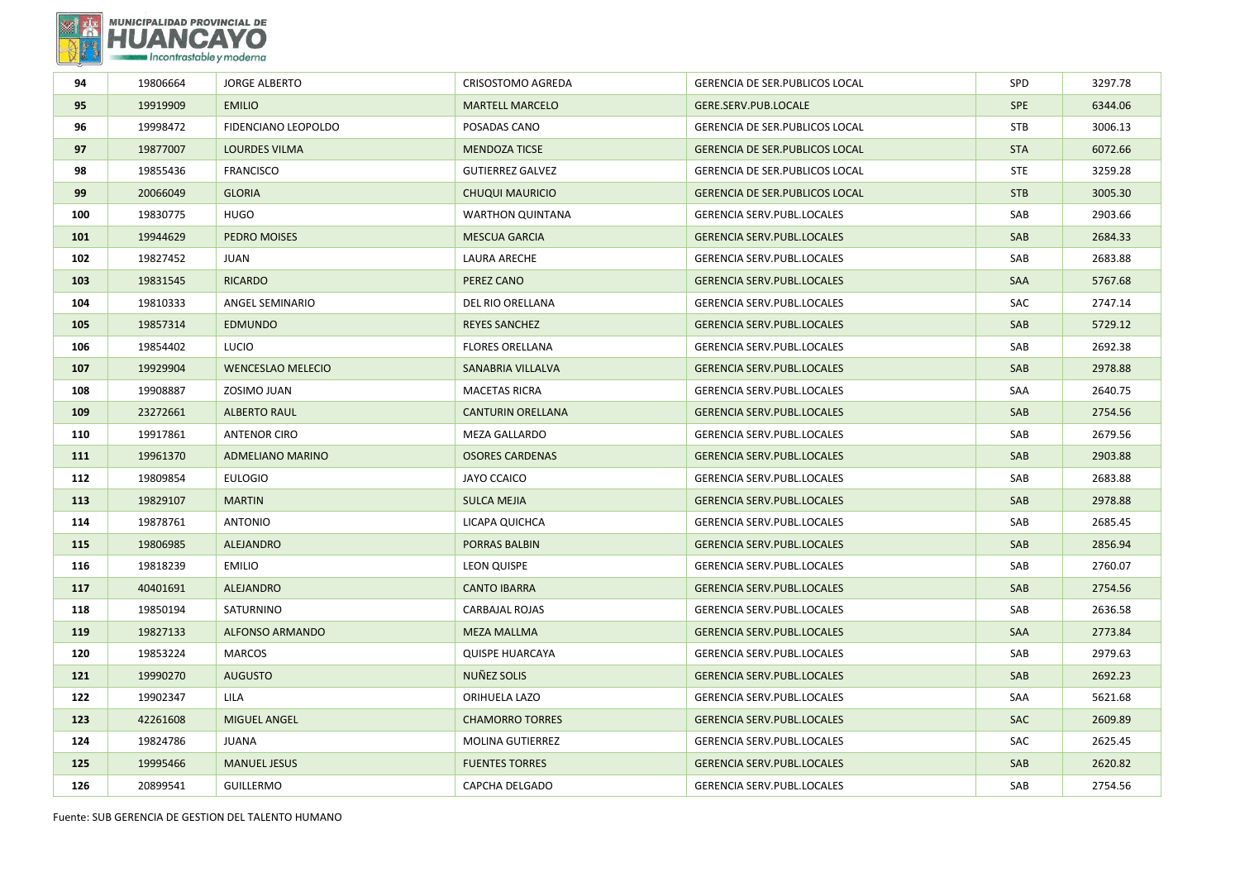

| 19806664 | <b>JORGE ALBERTO</b>     | CRISOSTOMO AGREDA        | <b>GERENCIA DE SER. PUBLICOS LOCAL</b> | SPD        | 3297.78 |
|----------|--------------------------|--------------------------|----------------------------------------|------------|---------|
| 19919909 | <b>EMILIO</b>            | <b>MARTELL MARCELO</b>   | GERE.SERV.PUB.LOCALE                   | <b>SPE</b> | 6344.06 |
| 19998472 | FIDENCIANO LEOPOLDO      | POSADAS CANO             | GERENCIA DE SER. PUBLICOS LOCAL        | <b>STB</b> | 3006.13 |
| 19877007 | <b>LOURDES VILMA</b>     | <b>MENDOZA TICSE</b>     | <b>GERENCIA DE SER. PUBLICOS LOCAL</b> | <b>STA</b> | 6072.66 |
| 19855436 | <b>FRANCISCO</b>         | <b>GUTIERREZ GALVEZ</b>  | GERENCIA DE SER. PUBLICOS LOCAL        | <b>STE</b> | 3259.28 |
| 20066049 | <b>GLORIA</b>            | <b>CHUQUI MAURICIO</b>   | <b>GERENCIA DE SER. PUBLICOS LOCAL</b> | <b>STB</b> | 3005.30 |
| 19830775 | <b>HUGO</b>              | <b>WARTHON QUINTANA</b>  | GERENCIA SERV.PUBL.LOCALES             | SAB        | 2903.66 |
| 19944629 | PEDRO MOISES             | <b>MESCUA GARCIA</b>     | <b>GERENCIA SERV.PUBL.LOCALES</b>      | SAB        | 2684.33 |
| 19827452 | JUAN                     | LAURA ARECHE             | GERENCIA SERV.PUBL.LOCALES             | SAB        | 2683.88 |
| 19831545 | <b>RICARDO</b>           | PEREZ CANO               | <b>GERENCIA SERV.PUBL.LOCALES</b>      | SAA        | 5767.68 |
| 19810333 | ANGEL SEMINARIO          | <b>DEL RIO ORELLANA</b>  | <b>GERENCIA SERV.PUBL.LOCALES</b>      | SAC        | 2747.14 |
| 19857314 | <b>EDMUNDO</b>           | <b>REYES SANCHEZ</b>     | <b>GERENCIA SERV.PUBL.LOCALES</b>      | SAB        | 5729.12 |
| 19854402 | LUCIO                    | <b>FLORES ORELLANA</b>   | <b>GERENCIA SERV.PUBL.LOCALES</b>      | SAB        | 2692.38 |
| 19929904 | <b>WENCESLAO MELECIO</b> | SANABRIA VILLALVA        | <b>GERENCIA SERV.PUBL.LOCALES</b>      | SAB        | 2978.88 |
| 19908887 | ZOSIMO JUAN              | <b>MACETAS RICRA</b>     | GERENCIA SERV.PUBL.LOCALES             | SAA        | 2640.75 |
| 23272661 | <b>ALBERTO RAUL</b>      | <b>CANTURIN ORELLANA</b> | <b>GERENCIA SERV.PUBL.LOCALES</b>      | SAB        | 2754.56 |
| 19917861 | <b>ANTENOR CIRO</b>      | MEZA GALLARDO            | GERENCIA SERV.PUBL.LOCALES             | SAB        | 2679.56 |
| 19961370 | <b>ADMELIANO MARINO</b>  | <b>OSORES CARDENAS</b>   | <b>GERENCIA SERV.PUBL.LOCALES</b>      | SAB        | 2903.88 |
| 19809854 | <b>EULOGIO</b>           | <b>JAYO CCAICO</b>       | GERENCIA SERV.PUBL.LOCALES             | SAB        | 2683.88 |
| 19829107 | <b>MARTIN</b>            | <b>SULCA MEJIA</b>       | <b>GERENCIA SERV.PUBL.LOCALES</b>      | SAB        | 2978.88 |
| 19878761 | <b>ANTONIO</b>           | LICAPA QUICHCA           | <b>GERENCIA SERV.PUBL.LOCALES</b>      | SAB        | 2685.45 |
| 19806985 | <b>ALEJANDRO</b>         | PORRAS BALBIN            | <b>GERENCIA SERV.PUBL.LOCALES</b>      | SAB        | 2856.94 |
| 19818239 | <b>EMILIO</b>            | LEON QUISPE              | <b>GERENCIA SERV.PUBL.LOCALES</b>      | SAB        | 2760.07 |
| 40401691 | <b>ALEJANDRO</b>         | <b>CANTO IBARRA</b>      | <b>GERENCIA SERV.PUBL.LOCALES</b>      | SAB        | 2754.56 |
| 19850194 | SATURNINO                | <b>CARBAJAL ROJAS</b>    | GERENCIA SERV.PUBL.LOCALES             | SAB        | 2636.58 |
| 19827133 | <b>ALFONSO ARMANDO</b>   | <b>MEZA MALLMA</b>       | <b>GERENCIA SERV.PUBL.LOCALES</b>      | SAA        | 2773.84 |
| 19853224 | <b>MARCOS</b>            | <b>QUISPE HUARCAYA</b>   | GERENCIA SERV.PUBL.LOCALES             | SAB        | 2979.63 |
| 19990270 | <b>AUGUSTO</b>           | NUÑEZ SOLIS              | <b>GERENCIA SERV.PUBL.LOCALES</b>      | SAB        | 2692.23 |
| 19902347 | LILA                     | ORIHUELA LAZO            | GERENCIA SERV.PUBL.LOCALES             | SAA        | 5621.68 |
| 42261608 | <b>MIGUEL ANGEL</b>      | <b>CHAMORRO TORRES</b>   | <b>GERENCIA SERV.PUBL.LOCALES</b>      | <b>SAC</b> | 2609.89 |
| 19824786 | JUANA                    | <b>MOLINA GUTIERREZ</b>  | GERENCIA SERV.PUBL.LOCALES             | SAC        | 2625.45 |
| 19995466 | <b>MANUEL JESUS</b>      | <b>FUENTES TORRES</b>    | <b>GERENCIA SERV.PUBL.LOCALES</b>      | SAB        | 2620.82 |
| 20899541 | <b>GUILLERMO</b>         | CAPCHA DELGADO           | GERENCIA SERV.PUBL.LOCALES             | SAB        | 2754.56 |
|          |                          |                          |                                        |            |         |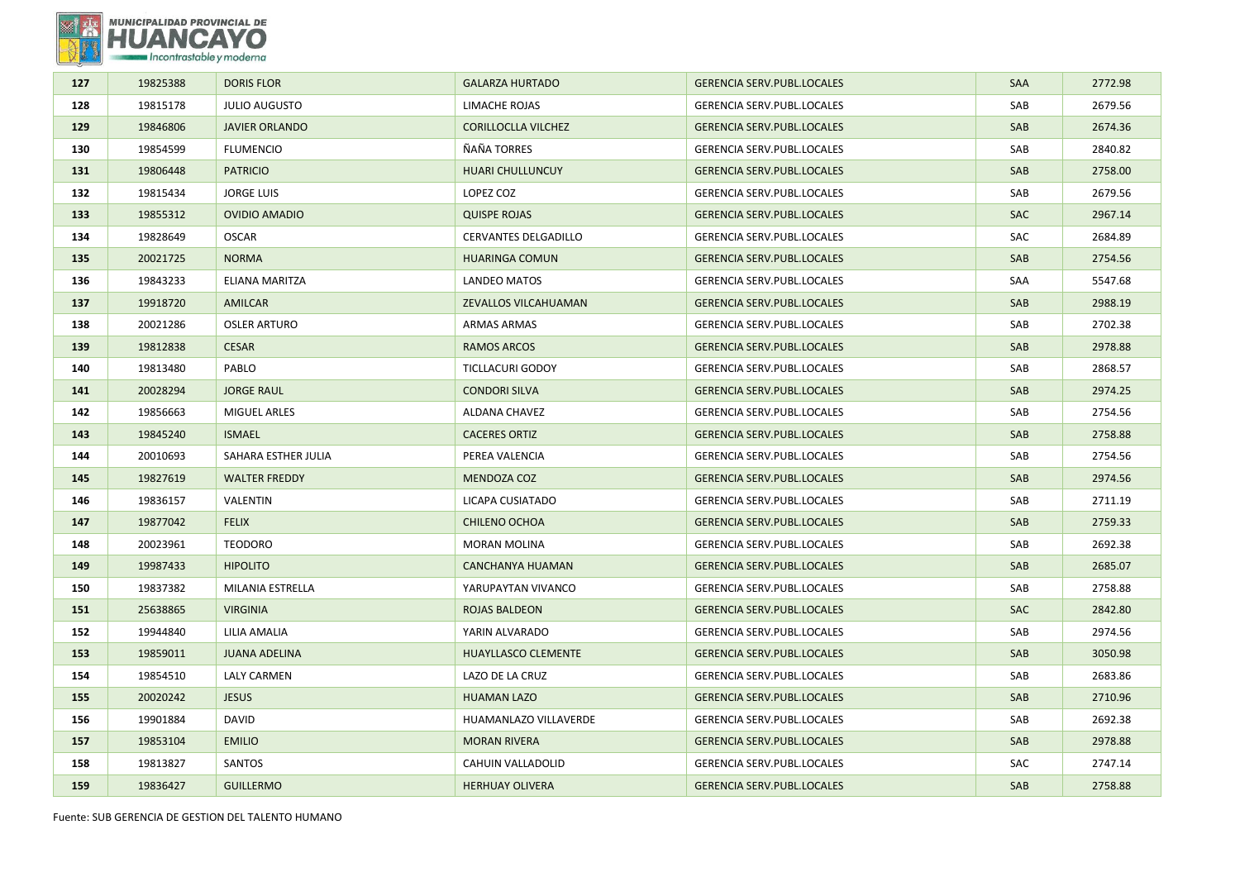

| 127 | 19825388 | <b>DORIS FLOR</b>     | <b>GALARZA HURTADO</b>      | <b>GERENCIA SERV.PUBL.LOCALES</b> | <b>SAA</b> | 2772.98 |
|-----|----------|-----------------------|-----------------------------|-----------------------------------|------------|---------|
| 128 | 19815178 | <b>JULIO AUGUSTO</b>  | LIMACHE ROJAS               | GERENCIA SERV.PUBL.LOCALES        | SAB        | 2679.56 |
| 129 | 19846806 | <b>JAVIER ORLANDO</b> | <b>CORILLOCLLA VILCHEZ</b>  | <b>GERENCIA SERV.PUBL.LOCALES</b> | SAB        | 2674.36 |
| 130 | 19854599 | <b>FLUMENCIO</b>      | ÑAÑA TORRES                 | GERENCIA SERV.PUBL.LOCALES        | SAB        | 2840.82 |
| 131 | 19806448 | <b>PATRICIO</b>       | <b>HUARI CHULLUNCUY</b>     | <b>GERENCIA SERV.PUBL.LOCALES</b> | SAB        | 2758.00 |
| 132 | 19815434 | <b>JORGE LUIS</b>     | LOPEZ COZ                   | GERENCIA SERV.PUBL.LOCALES        | SAB        | 2679.56 |
| 133 | 19855312 | <b>OVIDIO AMADIO</b>  | <b>QUISPE ROJAS</b>         | <b>GERENCIA SERV.PUBL.LOCALES</b> | <b>SAC</b> | 2967.14 |
| 134 | 19828649 | <b>OSCAR</b>          | <b>CERVANTES DELGADILLO</b> | <b>GERENCIA SERV.PUBL.LOCALES</b> | SAC        | 2684.89 |
| 135 | 20021725 | <b>NORMA</b>          | <b>HUARINGA COMUN</b>       | <b>GERENCIA SERV.PUBL.LOCALES</b> | SAB        | 2754.56 |
| 136 | 19843233 | ELIANA MARITZA        | LANDEO MATOS                | GERENCIA SERV.PUBL.LOCALES        | SAA        | 5547.68 |
| 137 | 19918720 | AMILCAR               | ZEVALLOS VILCAHUAMAN        | <b>GERENCIA SERV.PUBL.LOCALES</b> | SAB        | 2988.19 |
| 138 | 20021286 | <b>OSLER ARTURO</b>   | <b>ARMAS ARMAS</b>          | GERENCIA SERV.PUBL.LOCALES        | SAB        | 2702.38 |
| 139 | 19812838 | <b>CESAR</b>          | RAMOS ARCOS                 | <b>GERENCIA SERV.PUBL.LOCALES</b> | <b>SAB</b> | 2978.88 |
| 140 | 19813480 | PABLO                 | <b>TICLLACURI GODOY</b>     | GERENCIA SERV.PUBL.LOCALES        | SAB        | 2868.57 |
| 141 | 20028294 | <b>JORGE RAUL</b>     | <b>CONDORI SILVA</b>        | <b>GERENCIA SERV.PUBL.LOCALES</b> | SAB        | 2974.25 |
| 142 | 19856663 | <b>MIGUEL ARLES</b>   | <b>ALDANA CHAVEZ</b>        | <b>GERENCIA SERV.PUBL.LOCALES</b> | SAB        | 2754.56 |
| 143 | 19845240 | <b>ISMAEL</b>         | <b>CACERES ORTIZ</b>        | <b>GERENCIA SERV.PUBL.LOCALES</b> | SAB        | 2758.88 |
| 144 | 20010693 | SAHARA ESTHER JULIA   | PEREA VALENCIA              | GERENCIA SERV.PUBL.LOCALES        | SAB        | 2754.56 |
| 145 | 19827619 | <b>WALTER FREDDY</b>  | MENDOZA COZ                 | <b>GERENCIA SERV.PUBL.LOCALES</b> | SAB        | 2974.56 |
| 146 | 19836157 | VALENTIN              | LICAPA CUSIATADO            | GERENCIA SERV.PUBL.LOCALES        | SAB        | 2711.19 |
| 147 | 19877042 | <b>FELIX</b>          | <b>CHILENO OCHOA</b>        | <b>GERENCIA SERV.PUBL.LOCALES</b> | SAB        | 2759.33 |
| 148 | 20023961 | <b>TEODORO</b>        | <b>MORAN MOLINA</b>         | GERENCIA SERV.PUBL.LOCALES        | SAB        | 2692.38 |
| 149 | 19987433 | <b>HIPOLITO</b>       | CANCHANYA HUAMAN            | <b>GERENCIA SERV.PUBL.LOCALES</b> | SAB        | 2685.07 |
| 150 | 19837382 | MILANIA ESTRELLA      | YARUPAYTAN VIVANCO          | GERENCIA SERV.PUBL.LOCALES        | SAB        | 2758.88 |
| 151 | 25638865 | <b>VIRGINIA</b>       | ROJAS BALDEON               | <b>GERENCIA SERV.PUBL.LOCALES</b> | <b>SAC</b> | 2842.80 |
| 152 | 19944840 | LILIA AMALIA          | YARIN ALVARADO              | GERENCIA SERV.PUBL.LOCALES        | SAB        | 2974.56 |
| 153 | 19859011 | <b>JUANA ADELINA</b>  | <b>HUAYLLASCO CLEMENTE</b>  | <b>GERENCIA SERV.PUBL.LOCALES</b> | SAB        | 3050.98 |
| 154 | 19854510 | <b>LALY CARMEN</b>    | LAZO DE LA CRUZ             | GERENCIA SERV.PUBL.LOCALES        | SAB        | 2683.86 |
| 155 | 20020242 | <b>JESUS</b>          | <b>HUAMAN LAZO</b>          | <b>GERENCIA SERV.PUBL.LOCALES</b> | SAB        | 2710.96 |
| 156 | 19901884 | <b>DAVID</b>          | HUAMANLAZO VILLAVERDE       | GERENCIA SERV.PUBL.LOCALES        | SAB        | 2692.38 |
| 157 | 19853104 | <b>EMILIO</b>         | <b>MORAN RIVERA</b>         | <b>GERENCIA SERV.PUBL.LOCALES</b> | SAB        | 2978.88 |
| 158 | 19813827 | SANTOS                | CAHUIN VALLADOLID           | GERENCIA SERV.PUBL.LOCALES        | SAC        | 2747.14 |
| 159 | 19836427 | <b>GUILLERMO</b>      | <b>HERHUAY OLIVERA</b>      | <b>GERENCIA SERV.PUBL.LOCALES</b> | SAB        | 2758.88 |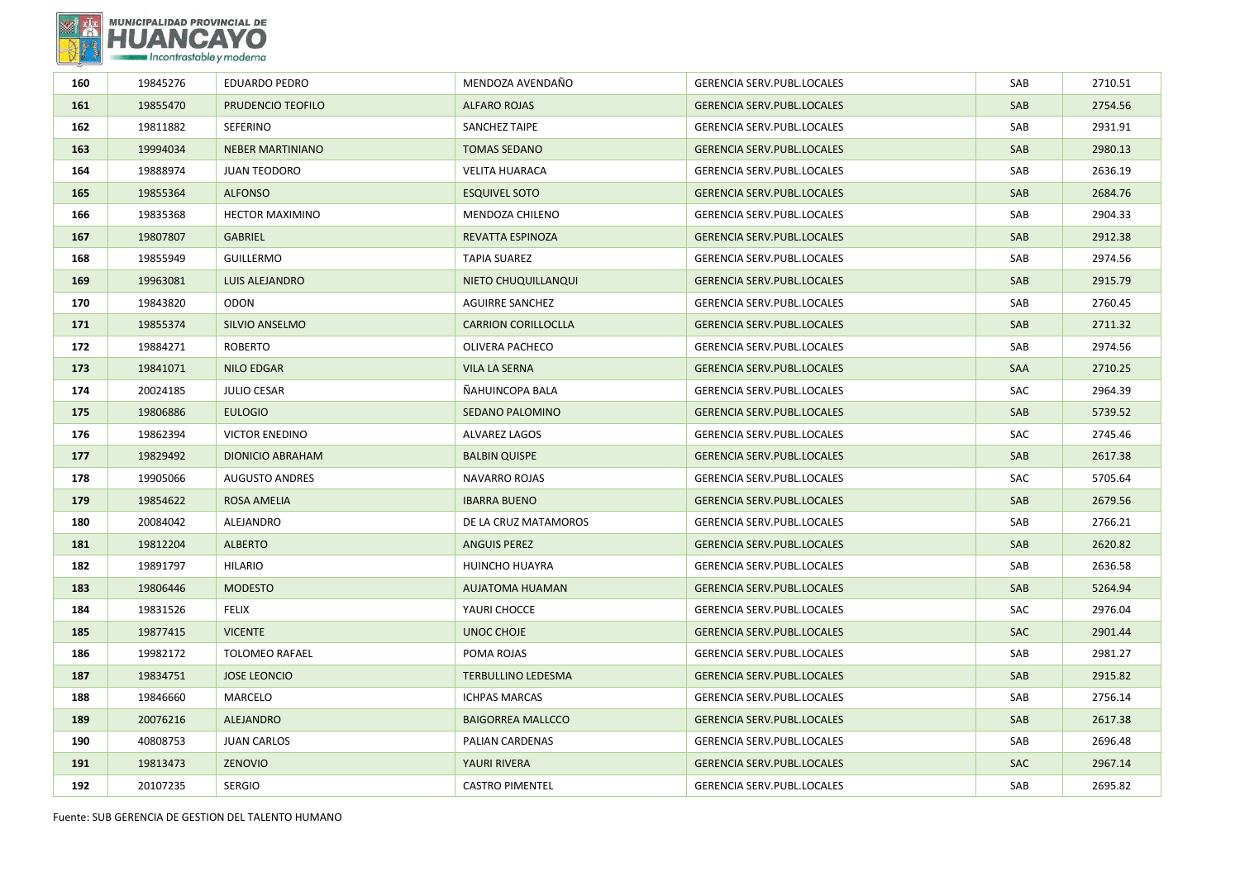

| 160 | 19845276 | <b>EDUARDO PEDRO</b>    | MENDOZA AVENDAÑO           | GERENCIA SERV.PUBL.LOCALES        | SAB        | 2710.51 |
|-----|----------|-------------------------|----------------------------|-----------------------------------|------------|---------|
| 161 | 19855470 | PRUDENCIO TEOFILO       | <b>ALFARO ROJAS</b>        | <b>GERENCIA SERV.PUBL.LOCALES</b> | SAB        | 2754.56 |
| 162 | 19811882 | <b>SEFERINO</b>         | <b>SANCHEZ TAIPE</b>       | <b>GERENCIA SERV.PUBL.LOCALES</b> | SAB        | 2931.91 |
| 163 | 19994034 | <b>NEBER MARTINIANO</b> | <b>TOMAS SEDANO</b>        | <b>GERENCIA SERV.PUBL.LOCALES</b> | SAB        | 2980.13 |
| 164 | 19888974 | <b>JUAN TEODORO</b>     | <b>VELITA HUARACA</b>      | GERENCIA SERV.PUBL.LOCALES        | SAB        | 2636.19 |
| 165 | 19855364 | <b>ALFONSO</b>          | <b>ESQUIVEL SOTO</b>       | <b>GERENCIA SERV.PUBL.LOCALES</b> | SAB        | 2684.76 |
| 166 | 19835368 | <b>HECTOR MAXIMINO</b>  | MENDOZA CHILENO            | GERENCIA SERV.PUBL.LOCALES        | SAB        | 2904.33 |
| 167 | 19807807 | <b>GABRIEL</b>          | <b>REVATTA ESPINOZA</b>    | <b>GERENCIA SERV.PUBL.LOCALES</b> | SAB        | 2912.38 |
| 168 | 19855949 | <b>GUILLERMO</b>        | <b>TAPIA SUAREZ</b>        | <b>GERENCIA SERV.PUBL.LOCALES</b> | SAB        | 2974.56 |
| 169 | 19963081 | LUIS ALEJANDRO          | NIETO CHUQUILLANQUI        | <b>GERENCIA SERV.PUBL.LOCALES</b> | SAB        | 2915.79 |
| 170 | 19843820 | <b>ODON</b>             | AGUIRRE SANCHEZ            | <b>GERENCIA SERV.PUBL.LOCALES</b> | SAB        | 2760.45 |
| 171 | 19855374 | SILVIO ANSELMO          | <b>CARRION CORILLOCLLA</b> | <b>GERENCIA SERV.PUBL.LOCALES</b> | SAB        | 2711.32 |
| 172 | 19884271 | <b>ROBERTO</b>          | OLIVERA PACHECO            | <b>GERENCIA SERV.PUBL.LOCALES</b> | SAB        | 2974.56 |
| 173 | 19841071 | NILO EDGAR              | <b>VILA LA SERNA</b>       | <b>GERENCIA SERV.PUBL.LOCALES</b> | SAA        | 2710.25 |
| 174 | 20024185 | <b>JULIO CESAR</b>      | ÑAHUINCOPA BALA            | GERENCIA SERV.PUBL.LOCALES        | SAC        | 2964.39 |
| 175 | 19806886 | <b>EULOGIO</b>          | SEDANO PALOMINO            | <b>GERENCIA SERV.PUBL.LOCALES</b> | SAB        | 5739.52 |
| 176 | 19862394 | <b>VICTOR ENEDINO</b>   | <b>ALVAREZ LAGOS</b>       | GERENCIA SERV.PUBL.LOCALES        | SAC        | 2745.46 |
| 177 | 19829492 | <b>DIONICIO ABRAHAM</b> | <b>BALBIN QUISPE</b>       | <b>GERENCIA SERV.PUBL.LOCALES</b> | SAB        | 2617.38 |
| 178 | 19905066 | <b>AUGUSTO ANDRES</b>   | <b>NAVARRO ROJAS</b>       | <b>GERENCIA SERV.PUBL.LOCALES</b> | SAC        | 5705.64 |
| 179 | 19854622 | <b>ROSA AMELIA</b>      | <b>IBARRA BUENO</b>        | <b>GERENCIA SERV.PUBL.LOCALES</b> | SAB        | 2679.56 |
| 180 | 20084042 | ALEJANDRO               | DE LA CRUZ MATAMOROS       | GERENCIA SERV.PUBL.LOCALES        | SAB        | 2766.21 |
| 181 | 19812204 | <b>ALBERTO</b>          | <b>ANGUIS PEREZ</b>        | <b>GERENCIA SERV.PUBL.LOCALES</b> | <b>SAB</b> | 2620.82 |
| 182 | 19891797 | <b>HILARIO</b>          | HUINCHO HUAYRA             | GERENCIA SERV.PUBL.LOCALES        | SAB        | 2636.58 |
| 183 | 19806446 | <b>MODESTO</b>          | AUJATOMA HUAMAN            | <b>GERENCIA SERV.PUBL.LOCALES</b> | SAB        | 5264.94 |
| 184 | 19831526 | <b>FELIX</b>            | YAURI CHOCCE               | GERENCIA SERV.PUBL.LOCALES        | SAC        | 2976.04 |
| 185 | 19877415 | <b>VICENTE</b>          | UNOC CHOJE                 | <b>GERENCIA SERV.PUBL.LOCALES</b> | <b>SAC</b> | 2901.44 |
| 186 | 19982172 | <b>TOLOMEO RAFAEL</b>   | POMA ROJAS                 | GERENCIA SERV.PUBL.LOCALES        | SAB        | 2981.27 |
| 187 | 19834751 | <b>JOSE LEONCIO</b>     | <b>TERBULLINO LEDESMA</b>  | <b>GERENCIA SERV.PUBL.LOCALES</b> | SAB        | 2915.82 |
| 188 | 19846660 | MARCELO                 | <b>ICHPAS MARCAS</b>       | GERENCIA SERV.PUBL.LOCALES        | SAB        | 2756.14 |
| 189 | 20076216 | <b>ALEJANDRO</b>        | <b>BAIGORREA MALLCCO</b>   | <b>GERENCIA SERV.PUBL.LOCALES</b> | <b>SAB</b> | 2617.38 |
| 190 | 40808753 | <b>JUAN CARLOS</b>      | PALIAN CARDENAS            | GERENCIA SERV.PUBL.LOCALES        | SAB        | 2696.48 |
| 191 | 19813473 | ZENOVIO                 | YAURI RIVERA               | <b>GERENCIA SERV.PUBL.LOCALES</b> | <b>SAC</b> | 2967.14 |
| 192 | 20107235 | <b>SERGIO</b>           | <b>CASTRO PIMENTEL</b>     | GERENCIA SERV.PUBL.LOCALES        | SAB        | 2695.82 |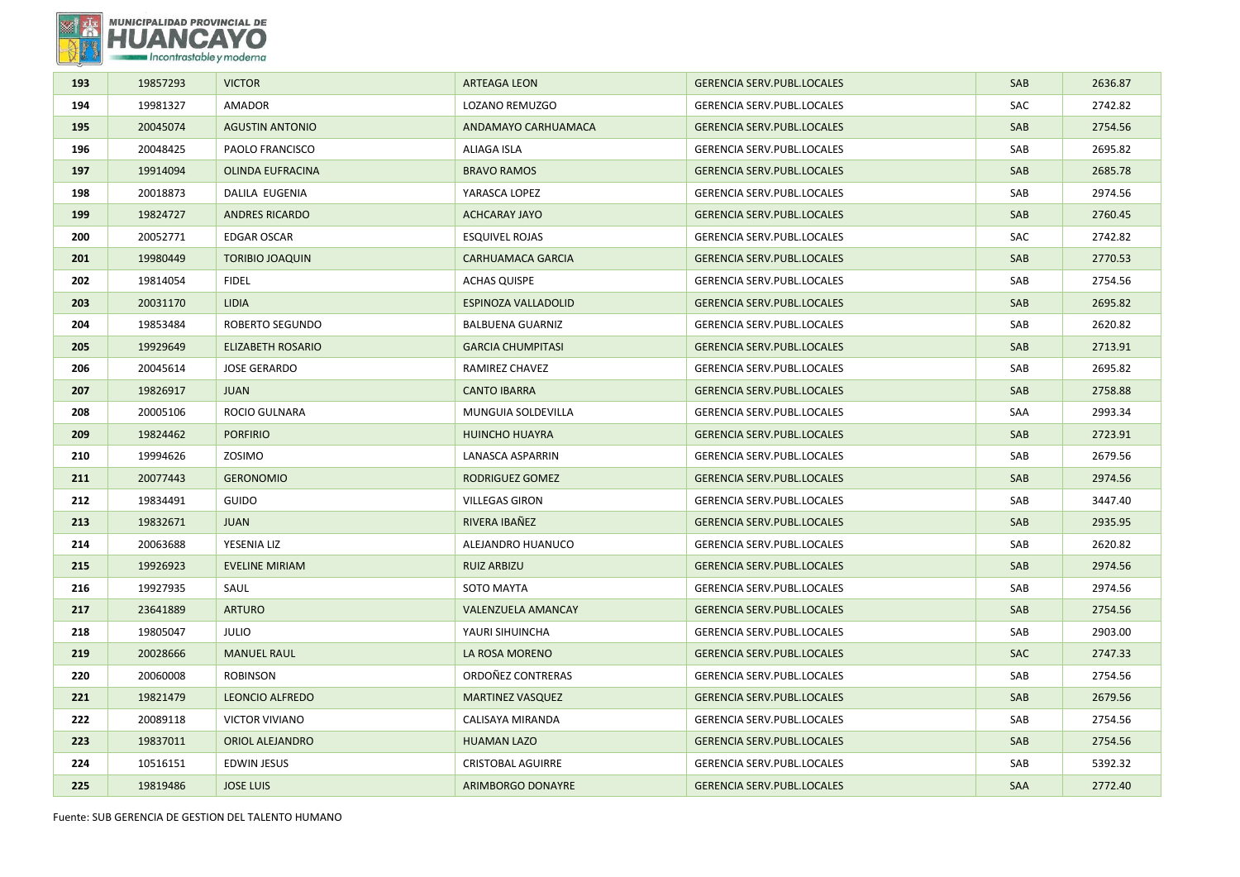

| 193 | 19857293 | <b>VICTOR</b>            | <b>ARTEAGA LEON</b>       | <b>GERENCIA SERV.PUBL.LOCALES</b> | <b>SAB</b> | 2636.87 |
|-----|----------|--------------------------|---------------------------|-----------------------------------|------------|---------|
| 194 | 19981327 | AMADOR                   | LOZANO REMUZGO            | GERENCIA SERV.PUBL.LOCALES        | SAC        | 2742.82 |
| 195 | 20045074 | <b>AGUSTIN ANTONIO</b>   | ANDAMAYO CARHUAMACA       | <b>GERENCIA SERV.PUBL.LOCALES</b> | SAB        | 2754.56 |
| 196 | 20048425 | PAOLO FRANCISCO          | ALIAGA ISLA               | <b>GERENCIA SERV.PUBL.LOCALES</b> | SAB        | 2695.82 |
| 197 | 19914094 | <b>OLINDA EUFRACINA</b>  | <b>BRAVO RAMOS</b>        | <b>GERENCIA SERV.PUBL.LOCALES</b> | SAB        | 2685.78 |
| 198 | 20018873 | DALILA EUGENIA           | YARASCA LOPEZ             | <b>GERENCIA SERV.PUBL.LOCALES</b> | SAB        | 2974.56 |
| 199 | 19824727 | <b>ANDRES RICARDO</b>    | <b>ACHCARAY JAYO</b>      | <b>GERENCIA SERV.PUBL.LOCALES</b> | SAB        | 2760.45 |
| 200 | 20052771 | <b>EDGAR OSCAR</b>       | <b>ESQUIVEL ROJAS</b>     | <b>GERENCIA SERV.PUBL.LOCALES</b> | <b>SAC</b> | 2742.82 |
| 201 | 19980449 | <b>TORIBIO JOAQUIN</b>   | CARHUAMACA GARCIA         | <b>GERENCIA SERV.PUBL.LOCALES</b> | SAB        | 2770.53 |
| 202 | 19814054 | <b>FIDEL</b>             | <b>ACHAS QUISPE</b>       | GERENCIA SERV.PUBL.LOCALES        | SAB        | 2754.56 |
| 203 | 20031170 | LIDIA                    | ESPINOZA VALLADOLID       | <b>GERENCIA SERV.PUBL.LOCALES</b> | SAB        | 2695.82 |
| 204 | 19853484 | ROBERTO SEGUNDO          | <b>BALBUENA GUARNIZ</b>   | GERENCIA SERV.PUBL.LOCALES        | SAB        | 2620.82 |
| 205 | 19929649 | <b>ELIZABETH ROSARIO</b> | <b>GARCIA CHUMPITASI</b>  | <b>GERENCIA SERV.PUBL.LOCALES</b> | SAB        | 2713.91 |
| 206 | 20045614 | <b>JOSE GERARDO</b>      | RAMIREZ CHAVEZ            | GERENCIA SERV.PUBL.LOCALES        | SAB        | 2695.82 |
| 207 | 19826917 | <b>JUAN</b>              | <b>CANTO IBARRA</b>       | <b>GERENCIA SERV.PUBL.LOCALES</b> | <b>SAB</b> | 2758.88 |
| 208 | 20005106 | ROCIO GULNARA            | MUNGUIA SOLDEVILLA        | GERENCIA SERV.PUBL.LOCALES        | SAA        | 2993.34 |
| 209 | 19824462 | <b>PORFIRIO</b>          | <b>HUINCHO HUAYRA</b>     | <b>GERENCIA SERV.PUBL.LOCALES</b> | SAB        | 2723.91 |
| 210 | 19994626 | ZOSIMO                   | <b>LANASCA ASPARRIN</b>   | <b>GERENCIA SERV.PUBL.LOCALES</b> | SAB        | 2679.56 |
| 211 | 20077443 | <b>GERONOMIO</b>         | RODRIGUEZ GOMEZ           | <b>GERENCIA SERV.PUBL.LOCALES</b> | SAB        | 2974.56 |
| 212 | 19834491 | <b>GUIDO</b>             | <b>VILLEGAS GIRON</b>     | <b>GERENCIA SERV.PUBL.LOCALES</b> | SAB        | 3447.40 |
| 213 | 19832671 | <b>JUAN</b>              | RIVERA IBAÑEZ             | <b>GERENCIA SERV.PUBL.LOCALES</b> | SAB        | 2935.95 |
| 214 | 20063688 | YESENIA LIZ              | ALEJANDRO HUANUCO         | GERENCIA SERV.PUBL.LOCALES        | SAB        | 2620.82 |
| 215 | 19926923 | <b>EVELINE MIRIAM</b>    | <b>RUIZ ARBIZU</b>        | <b>GERENCIA SERV.PUBL.LOCALES</b> | SAB        | 2974.56 |
| 216 | 19927935 | SAUL                     | <b>SOTO MAYTA</b>         | GERENCIA SERV.PUBL.LOCALES        | SAB        | 2974.56 |
| 217 | 23641889 | <b>ARTURO</b>            | <b>VALENZUELA AMANCAY</b> | <b>GERENCIA SERV.PUBL.LOCALES</b> | SAB        | 2754.56 |
| 218 | 19805047 | <b>JULIO</b>             | YAURI SIHUINCHA           | <b>GERENCIA SERV.PUBL.LOCALES</b> | SAB        | 2903.00 |
| 219 | 20028666 | <b>MANUEL RAUL</b>       | LA ROSA MORENO            | <b>GERENCIA SERV.PUBL.LOCALES</b> | <b>SAC</b> | 2747.33 |
| 220 | 20060008 | <b>ROBINSON</b>          | ORDONEZ CONTRERAS         | GERENCIA SERV.PUBL.LOCALES        | SAB        | 2754.56 |
| 221 | 19821479 | <b>LEONCIO ALFREDO</b>   | <b>MARTINEZ VASQUEZ</b>   | <b>GERENCIA SERV.PUBL.LOCALES</b> | SAB        | 2679.56 |
| 222 | 20089118 | <b>VICTOR VIVIANO</b>    | CALISAYA MIRANDA          | GERENCIA SERV.PUBL.LOCALES        | SAB        | 2754.56 |
| 223 | 19837011 | ORIOL ALEJANDRO          | <b>HUAMAN LAZO</b>        | <b>GERENCIA SERV.PUBL.LOCALES</b> | SAB        | 2754.56 |
| 224 | 10516151 | <b>EDWIN JESUS</b>       | <b>CRISTOBAL AGUIRRE</b>  | GERENCIA SERV.PUBL.LOCALES        | SAB        | 5392.32 |
| 225 | 19819486 | <b>JOSE LUIS</b>         | ARIMBORGO DONAYRE         | <b>GERENCIA SERV.PUBL.LOCALES</b> | <b>SAA</b> | 2772.40 |